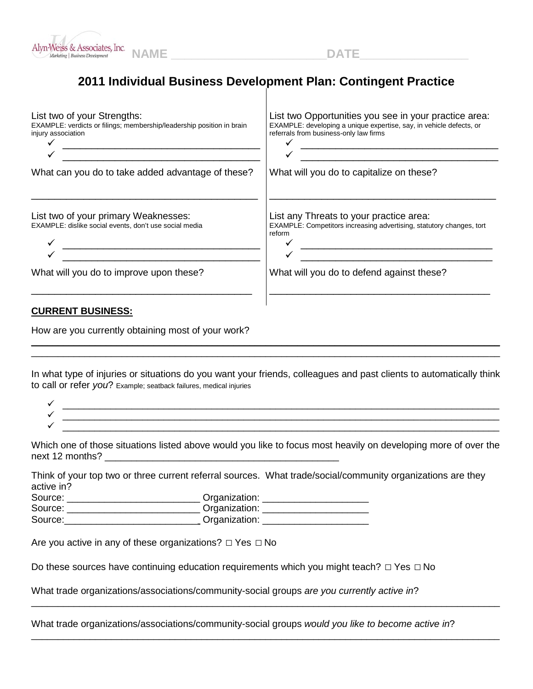

## **2011 Individual Business Development Plan: Contingent Practice**

| List two of your Strengths:<br>EXAMPLE: verdicts or filings; membership/leadership position in brain<br>injury association | List two Opportunities you see in your practice area:<br>EXAMPLE: developing a unique expertise, say, in vehicle defects, or<br>referrals from business-only law firms |
|----------------------------------------------------------------------------------------------------------------------------|------------------------------------------------------------------------------------------------------------------------------------------------------------------------|
| What can you do to take added advantage of these?                                                                          | What will you do to capitalize on these?                                                                                                                               |
| List two of your primary Weaknesses:<br>EXAMPLE: dislike social events, don't use social media                             | List any Threats to your practice area:<br>EXAMPLE: Competitors increasing advertising, statutory changes, tort<br>reform                                              |
| What will you do to improve upon these?                                                                                    | What will you do to defend against these?                                                                                                                              |
| <b>CURRENT BUSINESS:</b><br>How are you currently obtaining most of your work?                                             |                                                                                                                                                                        |

In what type of injuries or situations do you want your friends, colleagues and past clients to automatically think to call or refer *you*? Example; seatback failures, medical injuries

\_\_\_\_\_\_\_\_\_\_\_\_\_\_\_\_\_\_\_\_\_\_\_\_\_\_\_\_\_\_\_\_\_\_\_\_\_\_\_\_\_\_\_\_\_\_\_\_\_\_\_\_\_\_\_\_\_\_\_\_\_\_\_\_\_\_\_\_\_\_\_\_\_\_\_\_\_\_\_\_\_\_\_\_\_\_\_\_

Which one of those situations listed above would you like to focus most heavily on developing more of over the next 12 months?

Think of your top two or three current referral sources. What trade/social/community organizations are they active in?

| Source: | Organization: |
|---------|---------------|
| Source: | Organization: |
| Source: | Organization: |

Are you active in any of these organizations? *□* Yes *□* No

Do these sources have continuing education requirements which you might teach? *□* Yes *□* No

What trade organizations/associations/community-social groups *are you currently active in*?

What trade organizations/associations/community-social groups *would you like to become active in*?

\_\_\_\_\_\_\_\_\_\_\_\_\_\_\_\_\_\_\_\_\_\_\_\_\_\_\_\_\_\_\_\_\_\_\_\_\_\_\_\_\_\_\_\_\_\_\_\_\_\_\_\_\_\_\_\_\_\_\_\_\_\_\_\_\_\_\_\_\_\_\_\_\_\_\_\_\_\_\_\_\_\_\_\_\_\_\_\_

\_\_\_\_\_\_\_\_\_\_\_\_\_\_\_\_\_\_\_\_\_\_\_\_\_\_\_\_\_\_\_\_\_\_\_\_\_\_\_\_\_\_\_\_\_\_\_\_\_\_\_\_\_\_\_\_\_\_\_\_\_\_\_\_\_\_\_\_\_\_\_\_\_\_\_\_\_\_\_\_\_\_\_\_\_\_\_\_